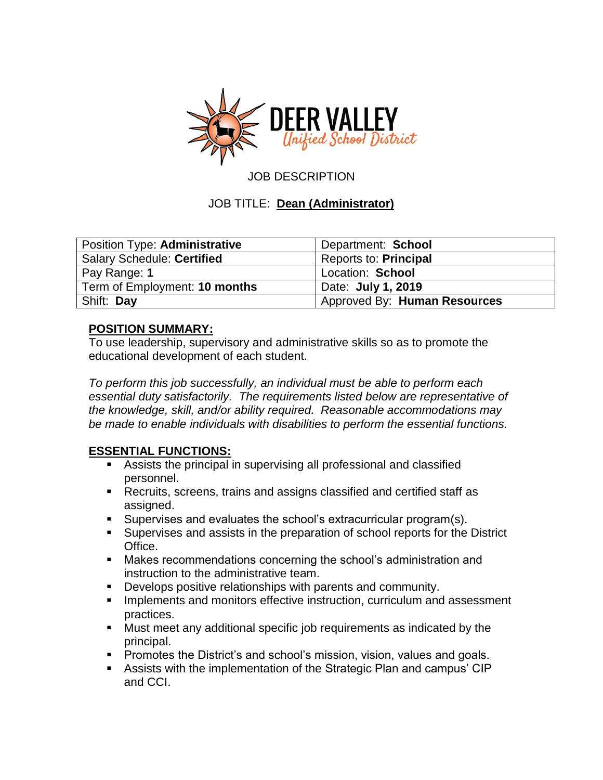

JOB DESCRIPTION

## JOB TITLE: **Dean (Administrator)**

| Position Type: Administrative     | Department: School           |
|-----------------------------------|------------------------------|
| <b>Salary Schedule: Certified</b> | <b>Reports to: Principal</b> |
| Pay Range: 1                      | Location: School             |
| Term of Employment: 10 months     | Date: <b>July 1, 2019</b>    |
| Shift: Day                        | Approved By: Human Resources |

#### **POSITION SUMMARY:**

To use leadership, supervisory and administrative skills so as to promote the educational development of each student.

*To perform this job successfully, an individual must be able to perform each essential duty satisfactorily. The requirements listed below are representative of the knowledge, skill, and/or ability required. Reasonable accommodations may be made to enable individuals with disabilities to perform the essential functions.*

#### **ESSENTIAL FUNCTIONS:**

- Assists the principal in supervising all professional and classified personnel.
- Recruits, screens, trains and assigns classified and certified staff as assigned.
- Supervises and evaluates the school's extracurricular program(s).
- Supervises and assists in the preparation of school reports for the District Office.
- **Makes recommendations concerning the school's administration and** instruction to the administrative team.
- **Develops positive relationships with parents and community.**
- Implements and monitors effective instruction, curriculum and assessment practices.
- Must meet any additional specific job requirements as indicated by the principal.
- **Promotes the District's and school's mission, vision, values and goals.**
- Assists with the implementation of the Strategic Plan and campus' CIP and CCI.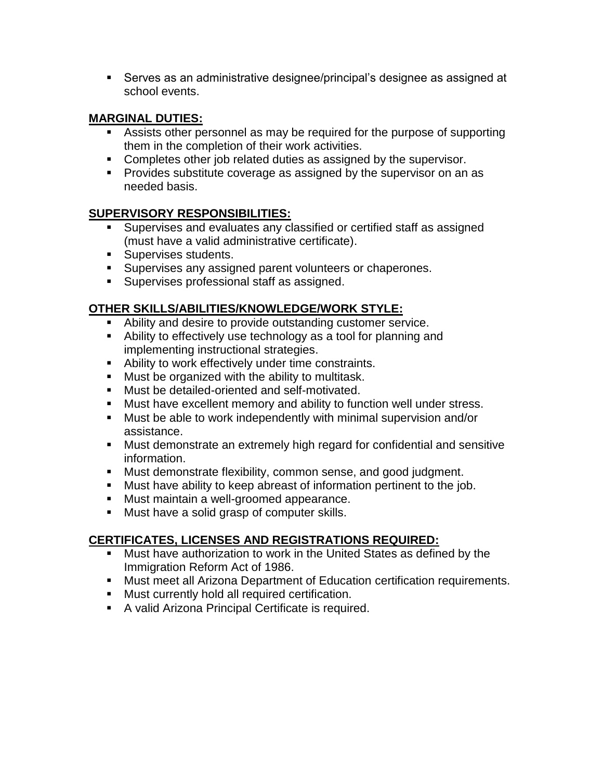Serves as an administrative designee/principal's designee as assigned at school events.

## **MARGINAL DUTIES:**

- Assists other personnel as may be required for the purpose of supporting them in the completion of their work activities.
- Completes other job related duties as assigned by the supervisor.
- **Provides substitute coverage as assigned by the supervisor on an as** needed basis.

## **SUPERVISORY RESPONSIBILITIES:**

- Supervises and evaluates any classified or certified staff as assigned (must have a valid administrative certificate).
- **Supervises students.**
- **Supervises any assigned parent volunteers or chaperones.**
- **Supervises professional staff as assigned.**

## **OTHER SKILLS/ABILITIES/KNOWLEDGE/WORK STYLE:**

- Ability and desire to provide outstanding customer service.
- Ability to effectively use technology as a tool for planning and implementing instructional strategies.
- Ability to work effectively under time constraints.
- **Must be organized with the ability to multitask.**
- **Must be detailed-oriented and self-motivated.**
- Must have excellent memory and ability to function well under stress.
- Must be able to work independently with minimal supervision and/or assistance.
- Must demonstrate an extremely high regard for confidential and sensitive information.
- Must demonstrate flexibility, common sense, and good judgment.
- Must have ability to keep abreast of information pertinent to the job.
- **Must maintain a well-groomed appearance.**
- Must have a solid grasp of computer skills.

## **CERTIFICATES, LICENSES AND REGISTRATIONS REQUIRED:**

- **Must have authorization to work in the United States as defined by the** Immigration Reform Act of 1986.
- Must meet all Arizona Department of Education certification requirements.
- **Must currently hold all required certification.**
- **A** valid Arizona Principal Certificate is required.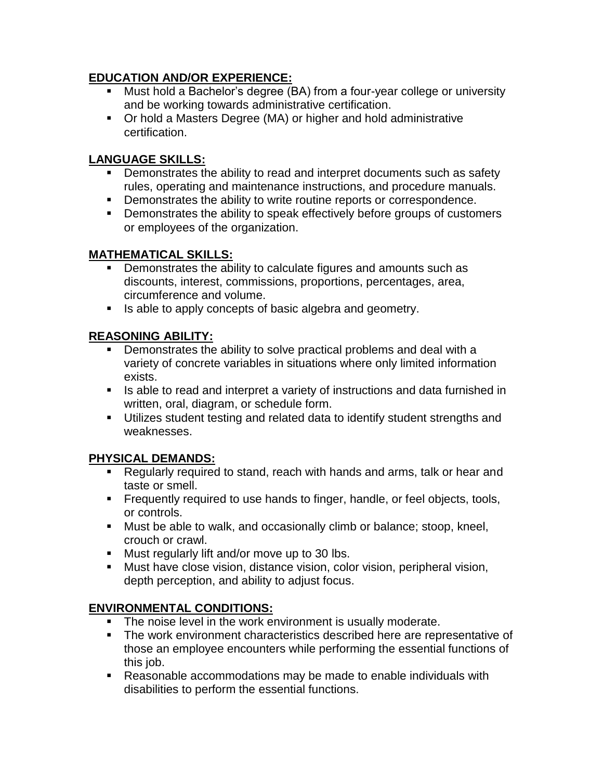## **EDUCATION AND/OR EXPERIENCE:**

- Must hold a Bachelor's degree (BA) from a four-year college or university and be working towards administrative certification.
- Or hold a Masters Degree (MA) or higher and hold administrative certification.

# **LANGUAGE SKILLS:**

- **•** Demonstrates the ability to read and interpret documents such as safety rules, operating and maintenance instructions, and procedure manuals.
- **•** Demonstrates the ability to write routine reports or correspondence.
- **•** Demonstrates the ability to speak effectively before groups of customers or employees of the organization.

## **MATHEMATICAL SKILLS:**

- Demonstrates the ability to calculate figures and amounts such as discounts, interest, commissions, proportions, percentages, area, circumference and volume.
- Is able to apply concepts of basic algebra and geometry.

## **REASONING ABILITY:**

- **•** Demonstrates the ability to solve practical problems and deal with a variety of concrete variables in situations where only limited information exists.
- **IS able to read and interpret a variety of instructions and data furnished in** written, oral, diagram, or schedule form.
- Utilizes student testing and related data to identify student strengths and weaknesses.

# **PHYSICAL DEMANDS:**

- Regularly required to stand, reach with hands and arms, talk or hear and taste or smell.
- **Figuently required to use hands to finger, handle, or feel objects, tools,** or controls.
- **Must be able to walk, and occasionally climb or balance; stoop, kneel,** crouch or crawl.
- **Must regularly lift and/or move up to 30 lbs.**
- Must have close vision, distance vision, color vision, peripheral vision, depth perception, and ability to adjust focus.

# **ENVIRONMENTAL CONDITIONS:**

- **The noise level in the work environment is usually moderate.**
- The work environment characteristics described here are representative of those an employee encounters while performing the essential functions of this job.
- Reasonable accommodations may be made to enable individuals with disabilities to perform the essential functions.